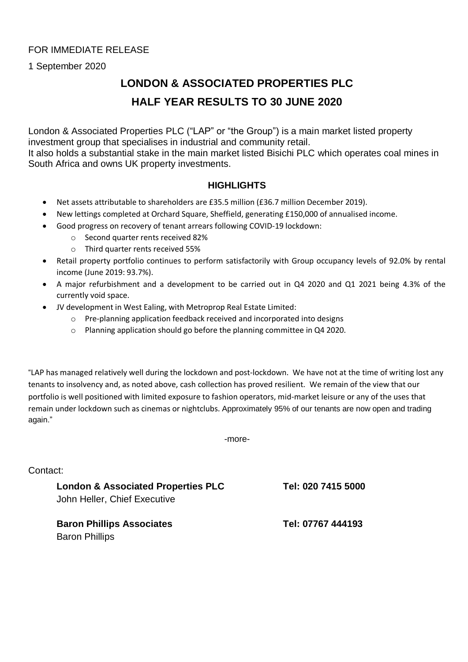### FOR IMMEDIATE RELEASE

1 September 2020

## **LONDON & ASSOCIATED PROPERTIES PLC HALF YEAR RESULTS TO 30 JUNE 2020**

London & Associated Properties PLC ("LAP" or "the Group") is a main market listed property investment group that specialises in industrial and community retail. It also holds a substantial stake in the main market listed Bisichi PLC which operates coal mines in South Africa and owns UK property investments.

### **HIGHLIGHTS**

- Net assets attributable to shareholders are £35.5 million (£36.7 million December 2019).
- New lettings completed at Orchard Square, Sheffield, generating £150,000 of annualised income.
- Good progress on recovery of tenant arrears following COVID-19 lockdown:
	- o Second quarter rents received 82%
	- o Third quarter rents received 55%
- Retail property portfolio continues to perform satisfactorily with Group occupancy levels of 92.0% by rental income (June 2019: 93.7%).
- A major refurbishment and a development to be carried out in Q4 2020 and Q1 2021 being 4.3% of the currently void space.
- JV development in West Ealing, with Metroprop Real Estate Limited:
	- o Pre-planning application feedback received and incorporated into designs
	- o Planning application should go before the planning committee in Q4 2020.

"LAP has managed relatively well during the lockdown and post-lockdown. We have not at the time of writing lost any tenants to insolvency and, as noted above, cash collection has proved resilient. We remain of the view that our portfolio is well positioned with limited exposure to fashion operators, mid-market leisure or any of the uses that remain under lockdown such as cinemas or nightclubs. Approximately 95% of our tenants are now open and trading again."

-more-

Contact:

**London & Associated Properties PLC Tel: 020 7415 5000** John Heller, Chief Executive

**Baron Phillips Associates Tel: 07767 444193** Baron Phillips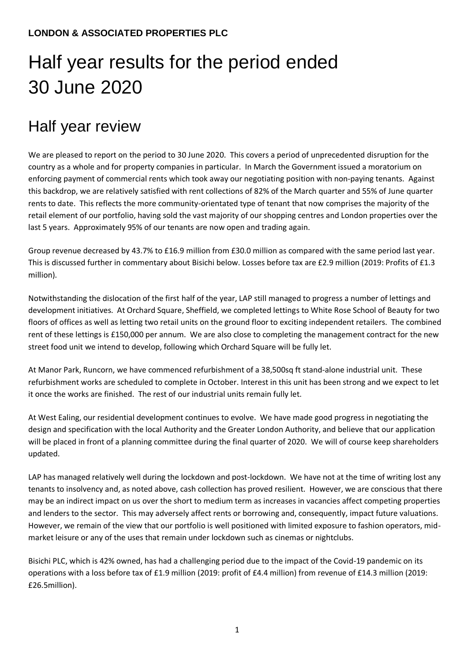# Half year results for the period ended 30 June 2020

## Half year review

We are pleased to report on the period to 30 June 2020. This covers a period of unprecedented disruption for the country as a whole and for property companies in particular. In March the Government issued a moratorium on enforcing payment of commercial rents which took away our negotiating position with non-paying tenants. Against this backdrop, we are relatively satisfied with rent collections of 82% of the March quarter and 55% of June quarter rents to date. This reflects the more community-orientated type of tenant that now comprises the majority of the retail element of our portfolio, having sold the vast majority of our shopping centres and London properties over the last 5 years. Approximately 95% of our tenants are now open and trading again.

Group revenue decreased by 43.7% to £16.9 million from £30.0 million as compared with the same period last year. This is discussed further in commentary about Bisichi below. Losses before tax are £2.9 million (2019: Profits of £1.3 million).

Notwithstanding the dislocation of the first half of the year, LAP still managed to progress a number of lettings and development initiatives. At Orchard Square, Sheffield, we completed lettings to White Rose School of Beauty for two floors of offices as well as letting two retail units on the ground floor to exciting independent retailers. The combined rent of these lettings is £150,000 per annum. We are also close to completing the management contract for the new street food unit we intend to develop, following which Orchard Square will be fully let.

At Manor Park, Runcorn, we have commenced refurbishment of a 38,500sq ft stand-alone industrial unit. These refurbishment works are scheduled to complete in October. Interest in this unit has been strong and we expect to let it once the works are finished. The rest of our industrial units remain fully let.

At West Ealing, our residential development continues to evolve. We have made good progress in negotiating the design and specification with the local Authority and the Greater London Authority, and believe that our application will be placed in front of a planning committee during the final quarter of 2020. We will of course keep shareholders updated.

LAP has managed relatively well during the lockdown and post-lockdown. We have not at the time of writing lost any tenants to insolvency and, as noted above, cash collection has proved resilient. However, we are conscious that there may be an indirect impact on us over the short to medium term as increases in vacancies affect competing properties and lenders to the sector. This may adversely affect rents or borrowing and, consequently, impact future valuations. However, we remain of the view that our portfolio is well positioned with limited exposure to fashion operators, midmarket leisure or any of the uses that remain under lockdown such as cinemas or nightclubs.

Bisichi PLC, which is 42% owned, has had a challenging period due to the impact of the Covid-19 pandemic on its operations with a loss before tax of £1.9 million (2019: profit of £4.4 million) from revenue of £14.3 million (2019: £26.5million).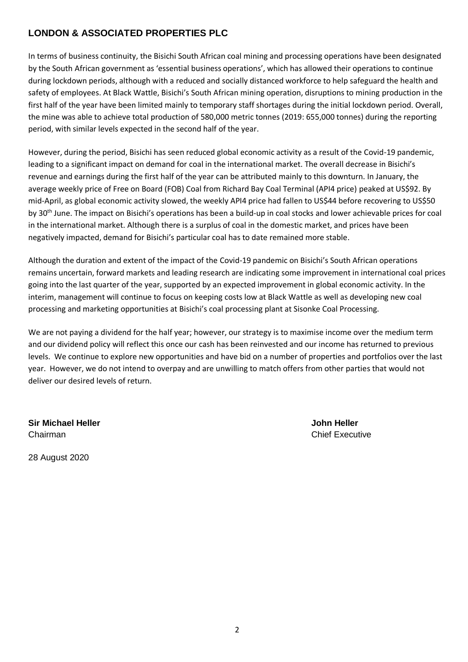In terms of business continuity, the Bisichi South African coal mining and processing operations have been designated by the South African government as 'essential business operations', which has allowed their operations to continue during lockdown periods, although with a reduced and socially distanced workforce to help safeguard the health and safety of employees. At Black Wattle, Bisichi's South African mining operation, disruptions to mining production in the first half of the year have been limited mainly to temporary staff shortages during the initial lockdown period. Overall, the mine was able to achieve total production of 580,000 metric tonnes (2019: 655,000 tonnes) during the reporting period, with similar levels expected in the second half of the year.

However, during the period, Bisichi has seen reduced global economic activity as a result of the Covid-19 pandemic, leading to a significant impact on demand for coal in the international market. The overall decrease in Bisichi's revenue and earnings during the first half of the year can be attributed mainly to this downturn. In January, the average weekly price of Free on Board (FOB) Coal from Richard Bay Coal Terminal (API4 price) peaked at US\$92. By mid-April, as global economic activity slowed, the weekly API4 price had fallen to US\$44 before recovering to US\$50 by 30<sup>th</sup> June. The impact on Bisichi's operations has been a build-up in coal stocks and lower achievable prices for coal in the international market. Although there is a surplus of coal in the domestic market, and prices have been negatively impacted, demand for Bisichi's particular coal has to date remained more stable.

Although the duration and extent of the impact of the Covid-19 pandemic on Bisichi's South African operations remains uncertain, forward markets and leading research are indicating some improvement in international coal prices going into the last quarter of the year, supported by an expected improvement in global economic activity. In the interim, management will continue to focus on keeping costs low at Black Wattle as well as developing new coal processing and marketing opportunities at Bisichi's coal processing plant at Sisonke Coal Processing.

We are not paying a dividend for the half year; however, our strategy is to maximise income over the medium term and our dividend policy will reflect this once our cash has been reinvested and our income has returned to previous levels. We continue to explore new opportunities and have bid on a number of properties and portfolios over the last year. However, we do not intend to overpay and are unwilling to match offers from other parties that would not deliver our desired levels of return.

**Sir Michael Heller John Heller** Chairman Chairman Chairman Chief Executive

28 August 2020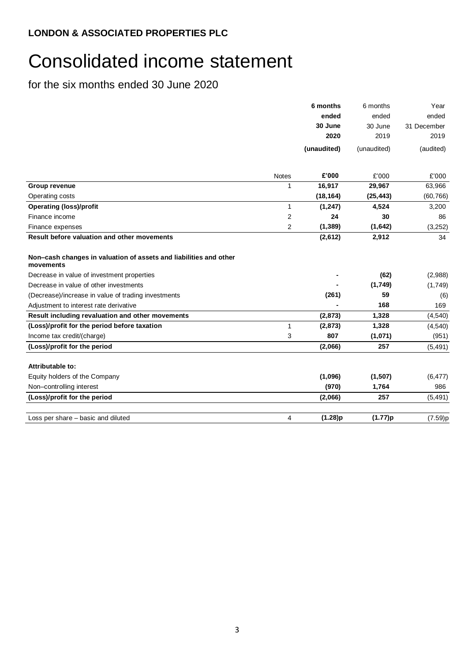# Consolidated income statement

|                                                                                |                | 6 months    | 6 months    | Year        |
|--------------------------------------------------------------------------------|----------------|-------------|-------------|-------------|
|                                                                                |                | ended       | ended       | ended       |
|                                                                                |                | 30 June     | 30 June     | 31 December |
|                                                                                |                | 2020        | 2019        | 2019        |
|                                                                                |                | (unaudited) | (unaudited) | (audited)   |
|                                                                                | <b>Notes</b>   | £'000       | £'000       | £'000       |
| Group revenue                                                                  | $\mathbf{1}$   | 16,917      | 29,967      | 63,966      |
| Operating costs                                                                |                | (18, 164)   | (25, 443)   | (60, 766)   |
| <b>Operating (loss)/profit</b>                                                 | $\mathbf{1}$   | (1, 247)    | 4,524       | 3,200       |
| Finance income                                                                 | $\overline{2}$ | 24          | 30          | 86          |
| Finance expenses                                                               | 2              | (1, 389)    | (1,642)     | (3,252)     |
| Result before valuation and other movements                                    |                | (2,612)     | 2,912       | 34          |
| Non-cash changes in valuation of assets and liabilities and other<br>movements |                |             |             |             |
| Decrease in value of investment properties                                     |                |             | (62)        | (2,988)     |
| Decrease in value of other investments                                         |                |             | (1,749)     | (1,749)     |
| (Decrease)/increase in value of trading investments                            |                | (261)       | 59          | (6)         |
| Adjustment to interest rate derivative                                         |                |             | 168         | 169         |
| Result including revaluation and other movements                               |                | (2, 873)    | 1,328       | (4, 540)    |
| (Loss)/profit for the period before taxation                                   | $\mathbf{1}$   | (2,873)     | 1,328       | (4, 540)    |
| Income tax credit/(charge)                                                     | 3              | 807         | (1,071)     | (951)       |
| (Loss)/profit for the period                                                   |                | (2,066)     | 257         | (5, 491)    |
| Attributable to:                                                               |                |             |             |             |
| Equity holders of the Company                                                  |                | (1,096)     | (1, 507)    | (6, 477)    |
| Non-controlling interest                                                       |                | (970)       | 1,764       | 986         |
| (Loss)/profit for the period                                                   |                | (2,066)     | 257         | (5, 491)    |
| Loss per share - basic and diluted                                             | 4              | (1.28)p     | (1.77)p     | (7.59)p     |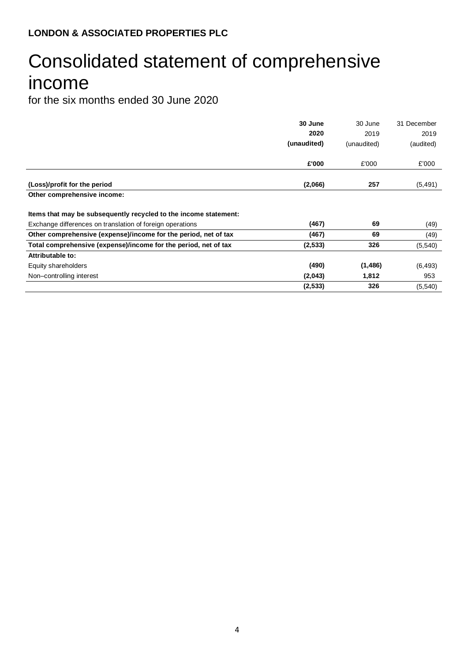# Consolidated statement of comprehensive income

|                                                                  | 30 June     | 30 June     | 31 December |
|------------------------------------------------------------------|-------------|-------------|-------------|
|                                                                  | 2020        | 2019        | 2019        |
|                                                                  | (unaudited) | (unaudited) | (audited)   |
|                                                                  | £'000       | £'000       | £'000       |
|                                                                  |             |             |             |
| (Loss)/profit for the period                                     | (2,066)     | 257         | (5, 491)    |
| Other comprehensive income:                                      |             |             |             |
| Items that may be subsequently recycled to the income statement: |             |             |             |
| Exchange differences on translation of foreign operations        | (467)       | 69          | (49)        |
| Other comprehensive (expense)/income for the period, net of tax  | (467)       | 69          | (49)        |
| Total comprehensive (expense)/income for the period, net of tax  | (2, 533)    | 326         | (5,540)     |
| Attributable to:                                                 |             |             |             |
| Equity shareholders                                              | (490)       | (1, 486)    | (6, 493)    |
| Non-controlling interest                                         | (2,043)     | 1,812       | 953         |
|                                                                  | (2,533)     | 326         | (5, 540)    |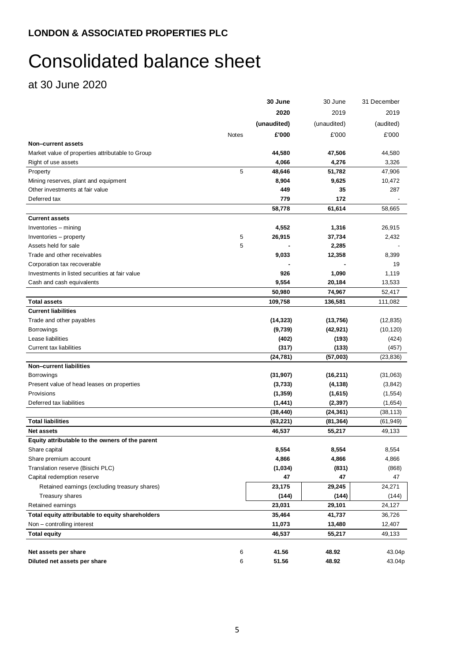# Consolidated balance sheet

at 30 June 2020

|                                                  |       | 30 June     | 30 June     | 31 December |
|--------------------------------------------------|-------|-------------|-------------|-------------|
|                                                  |       | 2020        | 2019        | 2019        |
|                                                  |       | (unaudited) | (unaudited) | (audited)   |
|                                                  | Notes | £'000       | £'000       | £'000       |
| Non-current assets                               |       |             |             |             |
| Market value of properties attributable to Group |       | 44,580      | 47,506      | 44,580      |
| Right of use assets                              |       | 4,066       | 4,276       | 3,326       |
| Property                                         | 5     | 48,646      | 51,782      | 47,906      |
| Mining reserves, plant and equipment             |       | 8,904       | 9,625       | 10,472      |
| Other investments at fair value                  |       | 449         | 35          | 287         |
| Deferred tax                                     |       | 779         | 172         |             |
|                                                  |       | 58,778      | 61,614      | 58,665      |
| <b>Current assets</b>                            |       |             |             |             |
| Inventories - mining                             |       | 4,552       | 1,316       | 26,915      |
| Inventories - property                           | 5     | 26,915      | 37,734      | 2,432       |
| Assets held for sale                             | 5     |             | 2,285       |             |
| Trade and other receivables                      |       | 9,033       | 12,358      | 8,399       |
| Corporation tax recoverable                      |       |             |             | 19          |
| Investments in listed securities at fair value   |       | 926         | 1,090       | 1,119       |
| Cash and cash equivalents                        |       | 9,554       | 20,184      | 13,533      |
|                                                  |       | 50,980      | 74,967      | 52,417      |
| <b>Total assets</b>                              |       | 109,758     | 136,581     | 111,082     |
| <b>Current liabilities</b>                       |       |             |             |             |
| Trade and other payables                         |       | (14, 323)   | (13,756)    | (12, 835)   |
| <b>Borrowings</b>                                |       | (9,739)     | (42, 921)   | (10, 120)   |
| Lease liabilities                                |       | (402)       | (193)       | (424)       |
| Current tax liabilities                          |       | (317)       | (133)       | (457)       |
|                                                  |       | (24, 781)   | (57,003)    | (23, 836)   |
| <b>Non-current liabilities</b>                   |       |             |             |             |
| <b>Borrowings</b>                                |       | (31, 907)   | (16, 211)   | (31,063)    |
| Present value of head leases on properties       |       | (3,733)     | (4, 138)    | (3, 842)    |
| Provisions                                       |       | (1, 359)    | (1,615)     | (1, 554)    |
| Deferred tax liabilities                         |       | (1, 441)    | (2, 397)    | (1,654)     |
|                                                  |       | (38, 440)   | (24, 361)   | (38, 113)   |
| <b>Total liabilities</b>                         |       | (63, 221)   | (81,364)    | (61, 949)   |
| <b>Net assets</b>                                |       | 46,537      | 55,217      | 49,133      |
| Equity attributable to the owners of the parent  |       |             |             |             |
| Share capital                                    |       | 8,554       | 8,554       | 8,554       |
| Share premium account                            |       | 4,866       | 4,866       | 4,866       |
| Translation reserve (Bisichi PLC)                |       | (1,034)     | (831)       | (868)       |
| Capital redemption reserve                       |       | 47          | 47          | 47          |
| Retained earnings (excluding treasury shares)    |       | 23,175      | 29,245      | 24,271      |
| Treasury shares                                  |       | (144)       | (144)       | (144)       |
| Retained earnings                                |       | 23,031      | 29,101      | 24,127      |
| Total equity attributable to equity shareholders |       | 35,464      | 41,737      | 36,726      |
| Non - controlling interest                       |       | 11,073      | 13,480      | 12,407      |
| <b>Total equity</b>                              |       | 46,537      | 55,217      | 49,133      |
| Net assets per share                             | 6     | 41.56       | 48.92       | 43.04p      |
| Diluted net assets per share                     | 6     | 51.56       | 48.92       | 43.04p      |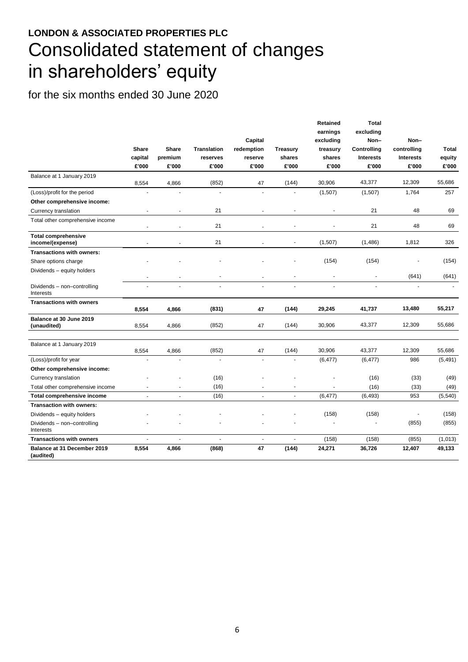## **LONDON & ASSOCIATED PROPERTIES PLC** Consolidated statement of changes in shareholders' equity

|                                                | <b>Share</b><br>capital<br>£'000 | <b>Share</b><br>premium<br>£'000 | <b>Translation</b><br>reserves<br>£'000 | Capital<br>redemption<br>reserve<br>£'000 | <b>Treasury</b><br>shares<br>£'000 | Retained<br>earnings<br>excluding<br>treasury<br>shares<br>£'000 | <b>Total</b><br>excluding<br>Non-<br>Controlling<br><b>Interests</b><br>£'000 | Non-<br>controlling<br><b>Interests</b><br>£'000 | Total<br>equity<br>£'000 |
|------------------------------------------------|----------------------------------|----------------------------------|-----------------------------------------|-------------------------------------------|------------------------------------|------------------------------------------------------------------|-------------------------------------------------------------------------------|--------------------------------------------------|--------------------------|
| Balance at 1 January 2019                      |                                  |                                  |                                         |                                           |                                    |                                                                  |                                                                               |                                                  |                          |
|                                                | 8,554                            | 4,866                            | (852)<br>$\overline{a}$                 | 47                                        | (144)                              | 30,906                                                           | 43,377                                                                        | 12,309                                           | 55,686                   |
| (Loss)/profit for the period                   |                                  |                                  |                                         |                                           |                                    | (1,507)                                                          | (1,507)                                                                       | 1,764                                            | 257                      |
| Other comprehensive income:                    |                                  |                                  |                                         |                                           |                                    |                                                                  |                                                                               |                                                  |                          |
| Currency translation                           |                                  |                                  | 21                                      |                                           |                                    |                                                                  | 21                                                                            | 48                                               | 69                       |
| Total other comprehensive income               |                                  | ٠                                | 21                                      |                                           |                                    |                                                                  | 21                                                                            | 48                                               | 69                       |
| <b>Total comprehensive</b><br>income/(expense) |                                  | ä,                               | 21                                      |                                           | Ĭ.                                 | (1,507)                                                          | (1,486)                                                                       | 1,812                                            | 326                      |
| Transactions with owners:                      |                                  |                                  |                                         |                                           |                                    |                                                                  |                                                                               |                                                  |                          |
| Share options charge                           |                                  |                                  |                                         |                                           |                                    | (154)                                                            | (154)                                                                         |                                                  | (154)                    |
| Dividends - equity holders                     | $\ddot{\phantom{0}}$             | $\overline{\phantom{a}}$         | $\overline{\phantom{a}}$                | $\overline{\phantom{a}}$                  |                                    |                                                                  |                                                                               | (641)                                            | (641)                    |
| Dividends - non-controlling<br>Interests       | ÷.                               | ÷.                               | ä,                                      | ÷.                                        | $\blacksquare$                     | $\blacksquare$                                                   | ÷.                                                                            | ÷.                                               |                          |
| <b>Transactions with owners</b>                | 8,554                            | 4,866                            | (831)                                   | 47                                        | (144)                              | 29,245                                                           | 41,737                                                                        | 13,480                                           | 55,217                   |
| Balance at 30 June 2019<br>(unaudited)         | 8.554                            | 4.866                            | (852)                                   | 47                                        | (144)                              | 30,906                                                           | 43,377                                                                        | 12,309                                           | 55.686                   |
| Balance at 1 January 2019                      | 8,554                            | 4,866                            | (852)                                   | 47                                        | (144)                              | 30,906                                                           | 43,377                                                                        | 12,309                                           | 55,686                   |
| (Loss)/profit for year                         |                                  |                                  |                                         |                                           |                                    | (6, 477)                                                         | (6, 477)                                                                      | 986                                              | (5, 491)                 |
| Other comprehensive income:                    |                                  |                                  |                                         |                                           |                                    |                                                                  |                                                                               |                                                  |                          |
| Currency translation                           |                                  |                                  | (16)                                    |                                           |                                    |                                                                  | (16)                                                                          | (33)                                             | (49)                     |
| Total other comprehensive income               | $\blacksquare$                   | $\blacksquare$                   | (16)                                    | $\sim$                                    | $\blacksquare$                     | $\overline{\phantom{a}}$                                         | (16)                                                                          | (33)                                             | (49)                     |
| Total comprehensive income                     | ä,                               | $\overline{a}$                   | (16)                                    | $\overline{a}$                            | ä,                                 | (6, 477)                                                         | (6, 493)                                                                      | 953                                              | (5,540)                  |
| <b>Transaction with owners:</b>                |                                  |                                  |                                         |                                           |                                    |                                                                  |                                                                               |                                                  |                          |
| Dividends - equity holders                     |                                  |                                  |                                         |                                           |                                    | (158)                                                            | (158)                                                                         |                                                  | (158)                    |
| Dividends - non-controlling<br>Interests       |                                  |                                  |                                         |                                           |                                    | ä,                                                               | ä,                                                                            | (855)                                            | (855)                    |
| <b>Transactions with owners</b>                |                                  | ÷.                               | $\overline{a}$                          | ÷.                                        | ä,                                 | (158)                                                            | (158)                                                                         | (855)                                            | (1,013)                  |
| Balance at 31 December 2019<br>(audited)       | 8,554                            | 4,866                            | (868)                                   | 47                                        | (144)                              | 24,271                                                           | 36,726                                                                        | 12,407                                           | 49,133                   |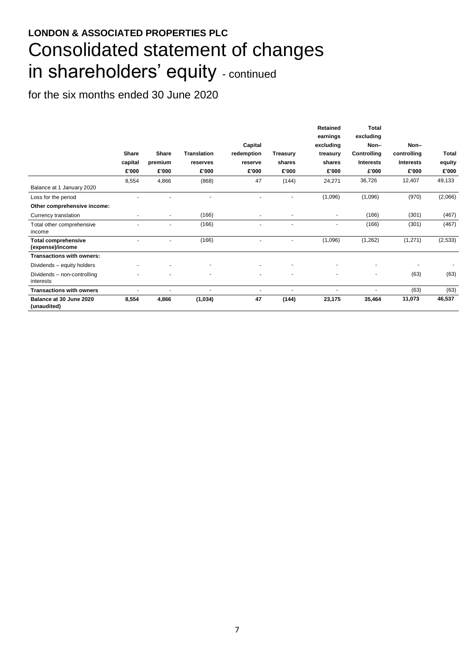## **LONDON & ASSOCIATED PROPERTIES PLC** Consolidated statement of changes in shareholders' equity - continued

|                                                |                          |                          |                    |                       |                 | Retained<br>earnings     | <b>Total</b><br>excluding |                     |          |
|------------------------------------------------|--------------------------|--------------------------|--------------------|-----------------------|-----------------|--------------------------|---------------------------|---------------------|----------|
|                                                | Share                    | Share                    | <b>Translation</b> | Capital<br>redemption | <b>Treasury</b> | excluding<br>treasury    | Non-<br>Controlling       | Non-<br>controlling | Total    |
|                                                | capital                  | premium                  | reserves           | reserve               | shares          | shares                   | <b>Interests</b>          | <b>Interests</b>    | equity   |
|                                                | £'000                    | £'000                    | £'000              | £'000                 | £'000           | £'000                    | £'000                     | £'000               | £'000    |
|                                                | 8,554                    | 4,866                    | (868)              | 47                    | (144)           | 24,271                   | 36,726                    | 12,407              | 49,133   |
| Balance at 1 January 2020                      |                          |                          |                    |                       |                 |                          |                           |                     |          |
| Loss for the period                            |                          |                          |                    |                       |                 | (1,096)                  | (1,096)                   | (970)               | (2,066)  |
| Other comprehensive income:                    |                          |                          |                    |                       |                 |                          |                           |                     |          |
| Currency translation                           | $\overline{\phantom{a}}$ | $\overline{\phantom{a}}$ | (166)              | ٠                     |                 |                          | (166)                     | (301)               | (467)    |
| Total other comprehensive<br>income            |                          |                          | (166)              | $\blacksquare$        |                 |                          | (166)                     | (301)               | (467)    |
| <b>Total comprehensive</b><br>(expense)/income |                          |                          | (166)              | ٠                     |                 | (1,096)                  | (1,262)                   | (1,271)             | (2, 533) |
| <b>Transactions with owners:</b>               |                          |                          |                    |                       |                 |                          |                           |                     |          |
| Dividends - equity holders                     |                          |                          |                    |                       |                 |                          |                           |                     |          |
| Dividends - non-controlling<br>interests       |                          |                          |                    | ٠                     |                 |                          | $\blacksquare$            | (63)                | (63)     |
| <b>Transactions with owners</b>                |                          |                          |                    | ٠                     |                 | $\overline{\phantom{0}}$ | $\overline{\phantom{a}}$  | (63)                | (63)     |
| Balance at 30 June 2020<br>(unaudited)         | 8,554                    | 4,866                    | (1,034)            | 47                    | (144)           | 23,175                   | 35,464                    | 11,073              | 46,537   |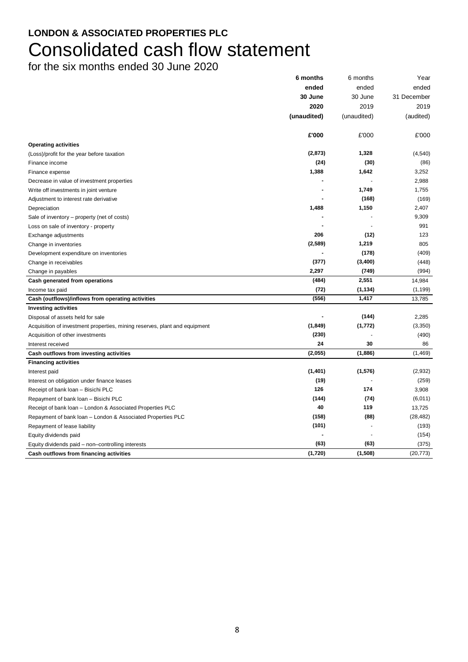## **LONDON & ASSOCIATED PROPERTIES PLC** Consolidated cash flow statement

|                                                                            | 6 months    | 6 months    | Year        |
|----------------------------------------------------------------------------|-------------|-------------|-------------|
|                                                                            | ended       | ended       | ended       |
|                                                                            | 30 June     | 30 June     | 31 December |
|                                                                            | 2020        | 2019        | 2019        |
|                                                                            | (unaudited) | (unaudited) | (audited)   |
|                                                                            | £'000       | £'000       | £'000       |
| <b>Operating activities</b>                                                |             |             |             |
| (Loss)/profit for the year before taxation                                 | (2, 873)    | 1,328       | (4, 540)    |
| Finance income                                                             | (24)        | (30)        | (86)        |
| Finance expense                                                            | 1,388       | 1,642       | 3,252       |
| Decrease in value of investment properties                                 |             |             | 2,988       |
| Write off investments in joint venture                                     |             | 1,749       | 1,755       |
| Adjustment to interest rate derivative                                     |             | (168)       | (169)       |
| Depreciation                                                               | 1,488       | 1,150       | 2,407       |
| Sale of inventory – property (net of costs)                                |             |             | 9,309       |
| Loss on sale of inventory - property                                       |             |             | 991         |
| Exchange adjustments                                                       | 206         | (12)        | 123         |
| Change in inventories                                                      | (2,589)     | 1,219       | 805         |
| Development expenditure on inventories                                     |             | (178)       | (409)       |
| Change in receivables                                                      | (377)       | (3,400)     | (448)       |
| Change in payables                                                         | 2,297       | (749)       | (994)       |
| Cash generated from operations                                             | (484)       | 2,551       | 14,984      |
| Income tax paid                                                            | (72)        | (1, 134)    | (1, 199)    |
| Cash (outflows)/inflows from operating activities                          | (556)       | 1,417       | 13,785      |
| <b>Investing activities</b>                                                |             |             |             |
| Disposal of assets held for sale                                           |             | (144)       | 2,285       |
| Acquisition of investment properties, mining reserves, plant and equipment | (1, 849)    | (1, 772)    | (3,350)     |
| Acquisition of other investments                                           | (230)       |             | (490)       |
| Interest received                                                          | 24          | 30          | 86          |
| Cash outflows from investing activities                                    | (2,055)     | (1,886)     | (1, 469)    |
| <b>Financing activities</b>                                                |             |             |             |
| Interest paid                                                              | (1,401)     | (1,576)     | (2,932)     |
| Interest on obligation under finance leases                                | (19)        |             | (259)       |
| Receipt of bank loan - Bisichi PLC                                         | 126         | 174         | 3,908       |
| Repayment of bank loan - Bisichi PLC                                       | (144)       | (74)        | (6,011)     |
| Receipt of bank loan - London & Associated Properties PLC                  | 40          | 119         | 13,725      |
| Repayment of bank loan - London & Associated Properties PLC                | (158)       | (88)        | (28, 482)   |
| Repayment of lease liability                                               | (101)       |             | (193)       |
| Equity dividends paid                                                      |             |             | (154)       |
| Equity dividends paid - non-controlling interests                          | (63)        | (63)        | (375)       |
| Cash outflows from financing activities                                    | (1,720)     | (1,508)     | (20, 773)   |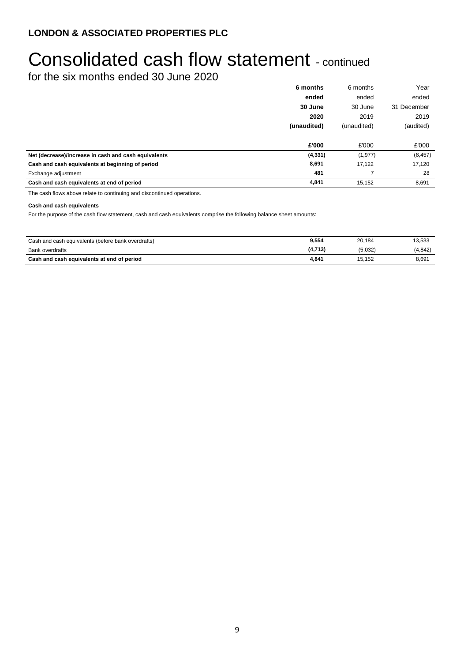# Consolidated cash flow statement - continued

for the six months ended 30 June 2020

|                                                      | 6 months    | 6 months    | Year        |
|------------------------------------------------------|-------------|-------------|-------------|
|                                                      | ended       | ended       | ended       |
|                                                      | 30 June     | 30 June     | 31 December |
|                                                      | 2020        | 2019        | 2019        |
|                                                      | (unaudited) | (unaudited) | (audited)   |
|                                                      |             |             |             |
|                                                      | £'000       | £'000       | £'000       |
| Net (decrease)/increase in cash and cash equivalents | (4, 331)    | (1, 977)    | (8, 457)    |
| Cash and cash equivalents at beginning of period     | 8,691       | 17,122      | 17,120      |
| Exchange adjustment                                  | 481         |             | 28          |
| Cash and cash equivalents at end of period           | 4,841       | 15,152      | 8,691       |

The cash flows above relate to continuing and discontinued operations.

### **Cash and cash equivalents**

For the purpose of the cash flow statement, cash and cash equivalents comprise the following balance sheet amounts:

| Cash and cash equivalents (before bank overdrafts) | 9,554   | 20.184  | 13,533  |
|----------------------------------------------------|---------|---------|---------|
| Bank overdrafts                                    | (4,713) | (5,032) | (4.842) |
| Cash and cash equivalents at end of period         | 4.841   | 15.152  | 8,691   |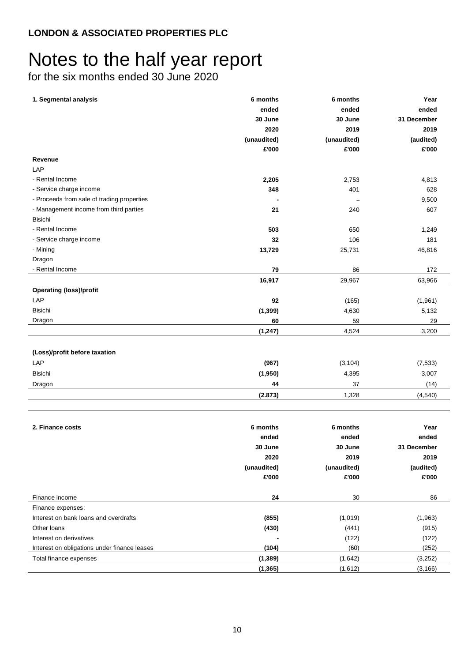# Notes to the half year report

| 1. Segmental analysis                        | 6 months    | 6 months    | Year        |  |
|----------------------------------------------|-------------|-------------|-------------|--|
|                                              | ended       | ended       | ended       |  |
|                                              | 30 June     | 30 June     | 31 December |  |
|                                              | 2020        | 2019        | 2019        |  |
|                                              | (unaudited) | (unaudited) | (audited)   |  |
|                                              | £'000       | £'000       | £'000       |  |
| Revenue                                      |             |             |             |  |
| LAP                                          |             |             |             |  |
| - Rental Income                              | 2,205       | 2,753       | 4,813       |  |
| - Service charge income                      | 348         | 401         | 628         |  |
| - Proceeds from sale of trading properties   |             |             | 9,500       |  |
| - Management income from third parties       | 21          | 240         | 607         |  |
| <b>Bisichi</b>                               |             |             |             |  |
| - Rental Income                              | 503         | 650         | 1,249       |  |
| - Service charge income                      | 32          | 106         | 181         |  |
| - Mining                                     | 13,729      | 25,731      | 46,816      |  |
| Dragon                                       |             |             |             |  |
| - Rental Income                              | 79          | 86          | 172         |  |
|                                              | 16,917      | 29,967      | 63,966      |  |
| <b>Operating (loss)/profit</b>               |             |             |             |  |
| LAP                                          | 92          | (165)       | (1,961)     |  |
| <b>Bisichi</b>                               | (1, 399)    | 4,630       | 5,132       |  |
| Dragon                                       | 60          | 59          | 29          |  |
|                                              | (1, 247)    | 4,524       | 3,200       |  |
| (Loss)/profit before taxation                |             |             |             |  |
| LAP                                          | (967)       | (3, 104)    | (7, 533)    |  |
| <b>Bisichi</b>                               | (1,950)     | 4,395       | 3,007       |  |
|                                              | 44          | 37          | (14)        |  |
| Dragon                                       | (2.873)     | 1,328       | (4,540)     |  |
|                                              |             |             |             |  |
| 2. Finance costs                             | 6 months    | 6 months    | Year        |  |
|                                              | ended       | ended       | ended       |  |
|                                              | 30 June     | 30 June     | 31 December |  |
|                                              | 2020        | 2019        | 2019        |  |
|                                              | (unaudited) | (unaudited) | (audited)   |  |
|                                              | £'000       | £'000       | £'000       |  |
| Finance income                               | 24          | 30          | 86          |  |
| Finance expenses:                            |             |             |             |  |
| Interest on bank loans and overdrafts        | (855)       | (1,019)     | (1,963)     |  |
| Other Ioans                                  | (430)       | (441)       | (915)       |  |
| Interest on derivatives                      |             | (122)       | (122)       |  |
| Interest on obligations under finance leases | (104)       | (60)        | (252)       |  |
| Total finance expenses                       | (1, 389)    | (1,642)     | (3,252)     |  |
|                                              | (1, 365)    | (1,612)     | (3, 166)    |  |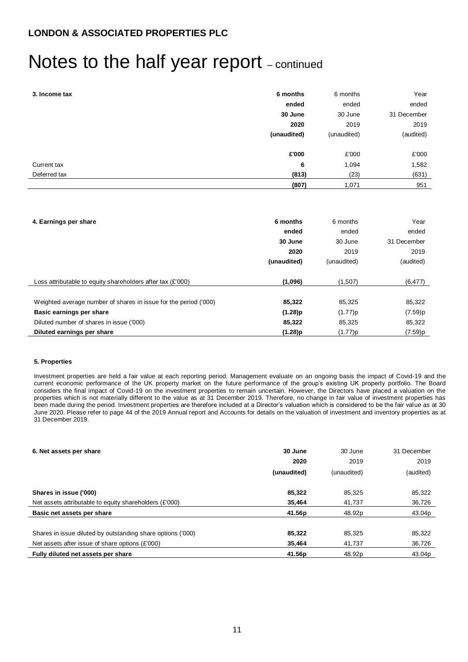## Notes to the half year report - continued

| 3. Income tax | 6 months    | 6 months    | Year        |
|---------------|-------------|-------------|-------------|
|               | ended       | ended       | ended       |
|               | 30 June     | 30 June     | 31 December |
|               | 2020        | 2019        | 2019        |
|               | (unaudited) | (unaudited) | (audited)   |
|               |             |             |             |
|               | £'000       | £'000       | £'000       |
| Current tax   | 6           | 1,094       | 1,582       |
| Deferred tax  | (813)       | (23)        | (631)       |
|               | (807)       | 1,071       | 951         |

| 4. Earnings per share                                            | 6 months    | 6 months    | Year        |
|------------------------------------------------------------------|-------------|-------------|-------------|
|                                                                  | ended       | ended       | ended       |
|                                                                  | 30 June     | 30 June     | 31 December |
|                                                                  | 2020        | 2019        | 2019        |
|                                                                  | (unaudited) | (unaudited) | (audited)   |
|                                                                  |             |             |             |
| Loss attributable to equity shareholders after tax (£'000)       | (1,096)     | (1,507)     | (6, 477)    |
|                                                                  |             |             |             |
| Weighted average number of shares in issue for the period ('000) | 85,322      | 85,325      | 85,322      |
| Basic earnings per share                                         | (1.28)p     | (1.77)p     | (7.59)p     |
| Diluted number of shares in issue ('000)                         | 85,322      | 85,325      | 85,322      |
| Diluted earnings per share                                       | (1.28)p     | (1.77)p     | (7.59)p     |

### **5. Properties**

Investment properties are held a fair value at each reporting period. Management evaluate on an ongoing basis the impact of Covid-19 and the current economic performance of the UK property market on the future performance of the group's existing UK property portfolio. The Board considers the final impact of Covid-19 on the investment properties to remain uncertain. However, the Directors have placed a valuation on the properties which is not materially different to the value as at 31 December 2019. Therefore, no change in fair value of investment properties has been made during the period. Investment properties are therefore included at a Director's valuation which is considered to be the fair value as at 30 June 2020. Please refer to page 44 of the 2019 Annual report and Accounts for details on the valuation of investment and inventory properties as at 31 December 2019.

| 6. Net assets per share                                     | 30 June     | 30 June     | 31 December |
|-------------------------------------------------------------|-------------|-------------|-------------|
|                                                             | 2020        | 2019        | 2019        |
|                                                             | (unaudited) | (unaudited) | (audited)   |
|                                                             |             |             |             |
| Shares in issue ('000)                                      | 85,322      | 85.325      | 85,322      |
| Net assets attributable to equity shareholders (£'000)      | 35,464      | 41,737      | 36,726      |
| Basic net assets per share                                  | 41.56p      | 48.92p      | 43.04p      |
|                                                             |             |             |             |
| Shares in issue diluted by outstanding share options ('000) | 85,322      | 85,325      | 85,322      |
| Net assets after issue of share options (£'000)             | 35,464      | 41,737      | 36,726      |
| Fully diluted net assets per share                          | 41.56p      | 48.92p      | 43.04p      |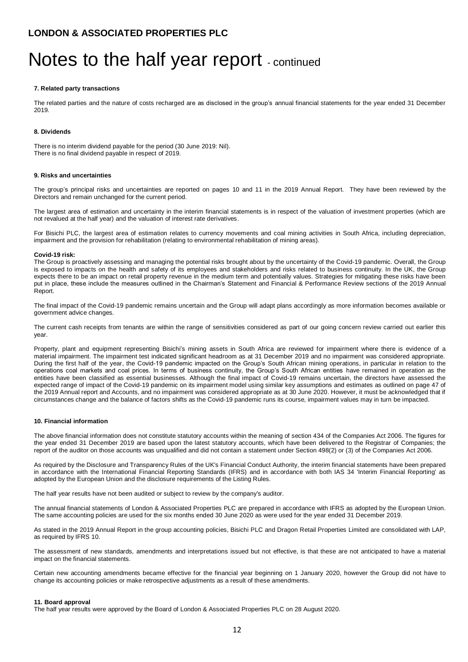## Notes to the half year report - continued

#### **7. Related party transactions**

The related parties and the nature of costs recharged are as disclosed in the group's annual financial statements for the year ended 31 December 2019.

### **8. Dividends**

There is no interim dividend payable for the period (30 June 2019: Nil). There is no final dividend payable in respect of 2019.

#### **9. Risks and uncertainties**

The group's principal risks and uncertainties are reported on pages 10 and 11 in the 2019 Annual Report. They have been reviewed by the Directors and remain unchanged for the current period.

The largest area of estimation and uncertainty in the interim financial statements is in respect of the valuation of investment properties (which are not revalued at the half year) and the valuation of interest rate derivatives.

For Bisichi PLC, the largest area of estimation relates to currency movements and coal mining activities in South Africa, including depreciation, impairment and the provision for rehabilitation (relating to environmental rehabilitation of mining areas).

#### **Covid-19 risk:**

The Group is proactively assessing and managing the potential risks brought about by the uncertainty of the Covid-19 pandemic. Overall, the Group is exposed to impacts on the health and safety of its employees and stakeholders and risks related to business continuity. In the UK, the Group expects there to be an impact on retail property revenue in the medium term and potentially values. Strategies for mitigating these risks have been put in place, these include the measures outlined in the Chairman's Statement and Financial & Performance Review sections of the 2019 Annual Report.

The final impact of the Covid-19 pandemic remains uncertain and the Group will adapt plans accordingly as more information becomes available or government advice changes.

The current cash receipts from tenants are within the range of sensitivities considered as part of our going concern review carried out earlier this year.

Property, plant and equipment representing Bisichi's mining assets in South Africa are reviewed for impairment where there is evidence of a material impairment. The impairment test indicated significant headroom as at 31 December 2019 and no impairment was considered appropriate. During the first half of the year, the Covid-19 pandemic impacted on the Group's South African mining operations, in particular in relation to the operations coal markets and coal prices. In terms of business continuity, the Group's South African entities have remained in operation as the entities have been classified as essential businesses. Although the final impact of Covid-19 remains uncertain, the directors have assessed the expected range of impact of the Covid-19 pandemic on its impairment model using similar key assumptions and estimates as outlined on page 47 of the 2019 Annual report and Accounts, and no impairment was considered appropriate as at 30 June 2020. However, it must be acknowledged that if circumstances change and the balance of factors shifts as the Covid-19 pandemic runs its course, impairment values may in turn be impacted.

#### **10. Financial information**

The above financial information does not constitute statutory accounts within the meaning of section 434 of the Companies Act 2006. The figures for the year ended 31 December 2019 are based upon the latest statutory accounts, which have been delivered to the Registrar of Companies; the report of the auditor on those accounts was unqualified and did not contain a statement under Section 498(2) or (3) of the Companies Act 2006.

As required by the Disclosure and Transparency Rules of the UK's Financial Conduct Authority, the interim financial statements have been prepared in accordance with the International Financial Reporting Standards (IFRS) and in accordance with both IAS 34 'Interim Financial Reporting' as adopted by the European Union and the disclosure requirements of the Listing Rules.

The half year results have not been audited or subject to review by the company's auditor.

The annual financial statements of London & Associated Properties PLC are prepared in accordance with IFRS as adopted by the European Union. The same accounting policies are used for the six months ended 30 June 2020 as were used for the year ended 31 December 2019.

As stated in the 2019 Annual Report in the group accounting policies, Bisichi PLC and Dragon Retail Properties Limited are consolidated with LAP, as required by IFRS 10.

The assessment of new standards, amendments and interpretations issued but not effective, is that these are not anticipated to have a material impact on the financial statements.

Certain new accounting amendments became effective for the financial year beginning on 1 January 2020, however the Group did not have to change its accounting policies or make retrospective adjustments as a result of these amendments.

#### **11. Board approval**

The half year results were approved by the Board of London & Associated Properties PLC on 28 August 2020.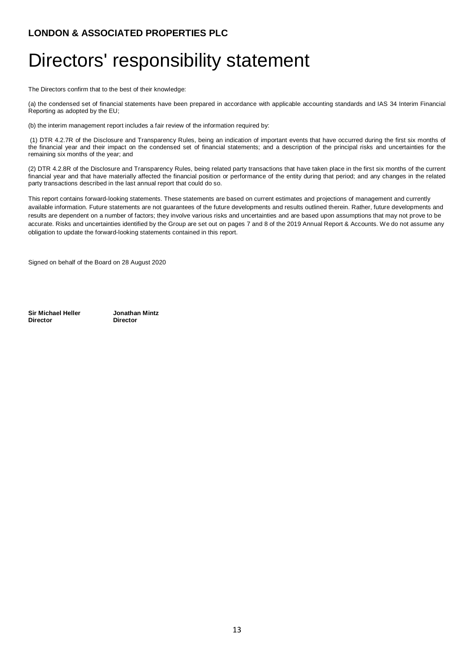# Directors' responsibility statement

The Directors confirm that to the best of their knowledge:

(a) the condensed set of financial statements have been prepared in accordance with applicable accounting standards and IAS 34 Interim Financial Reporting as adopted by the EU;

(b) the interim management report includes a fair review of the information required by:

(1) DTR 4.2.7R of the Disclosure and Transparency Rules, being an indication of important events that have occurred during the first six months of the financial year and their impact on the condensed set of financial statements; and a description of the principal risks and uncertainties for the remaining six months of the year; and

(2) DTR 4.2.8R of the Disclosure and Transparency Rules, being related party transactions that have taken place in the first six months of the current financial year and that have materially affected the financial position or performance of the entity during that period; and any changes in the related party transactions described in the last annual report that could do so.

This report contains forward-looking statements. These statements are based on current estimates and projections of management and currently available information. Future statements are not guarantees of the future developments and results outlined therein. Rather, future developments and results are dependent on a number of factors; they involve various risks and uncertainties and are based upon assumptions that may not prove to be accurate. Risks and uncertainties identified by the Group are set out on pages 7 and 8 of the 2019 Annual Report & Accounts. We do not assume any obligation to update the forward-looking statements contained in this report.

Signed on behalf of the Board on 28 August 2020

**Sir Michael Heller Jonathan Mintz Director Director**